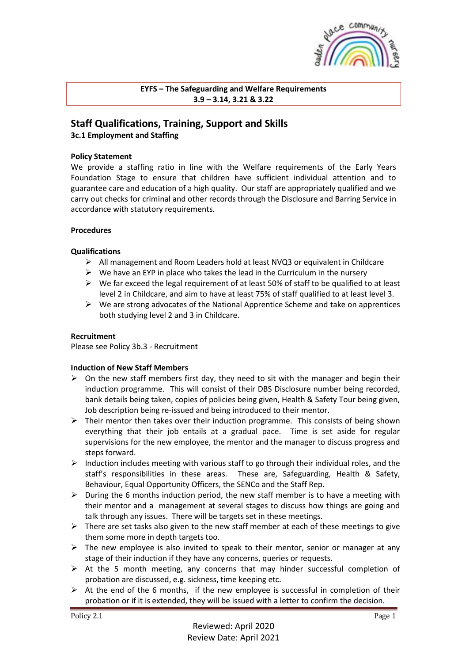

**EYFS – The Safeguarding and Welfare Requirements 3.9 – 3.14, 3.21 & 3.22**

# **Staff Qualifications, Training, Support and Skills 3c.1 Employment and Staffing**

# **Policy Statement**

We provide a staffing ratio in line with the Welfare requirements of the Early Years Foundation Stage to ensure that children have sufficient individual attention and to guarantee care and education of a high quality. Our staff are appropriately qualified and we carry out checks for criminal and other records through the Disclosure and Barring Service in accordance with statutory requirements.

### **Procedures**

### **Qualifications**

- ➢ All management and Room Leaders hold at least NVQ3 or equivalent in Childcare
- $\triangleright$  We have an EYP in place who takes the lead in the Curriculum in the nursery
- $\triangleright$  We far exceed the legal requirement of at least 50% of staff to be qualified to at least level 2 in Childcare, and aim to have at least 75% of staff qualified to at least level 3.
- $\triangleright$  We are strong advocates of the National Apprentice Scheme and take on apprentices both studying level 2 and 3 in Childcare.

# **Recruitment**

Please see Policy 3b.3 - Recruitment

#### **Induction of New Staff Members**

- $\triangleright$  On the new staff members first day, they need to sit with the manager and begin their induction programme. This will consist of their DBS Disclosure number being recorded, bank details being taken, copies of policies being given, Health & Safety Tour being given, Job description being re-issued and being introduced to their mentor.
- ➢ Their mentor then takes over their induction programme. This consists of being shown everything that their job entails at a gradual pace. Time is set aside for regular supervisions for the new employee, the mentor and the manager to discuss progress and steps forward.
- ➢ Induction includes meeting with various staff to go through their individual roles, and the staff's responsibilities in these areas. These are, Safeguarding, Health & Safety, Behaviour, Equal Opportunity Officers, the SENCo and the Staff Rep.
- $\triangleright$  During the 6 months induction period, the new staff member is to have a meeting with their mentor and a management at several stages to discuss how things are going and talk through any issues. There will be targets set in these meetings.
- $\triangleright$  There are set tasks also given to the new staff member at each of these meetings to give them some more in depth targets too.
- $\triangleright$  The new employee is also invited to speak to their mentor, senior or manager at any stage of their induction if they have any concerns, queries or requests.
- $\triangleright$  At the 5 month meeting, any concerns that may hinder successful completion of probation are discussed, e.g. sickness, time keeping etc.
- $\triangleright$  At the end of the 6 months, if the new employee is successful in completion of their probation or if it is extended, they will be issued with a letter to confirm the decision.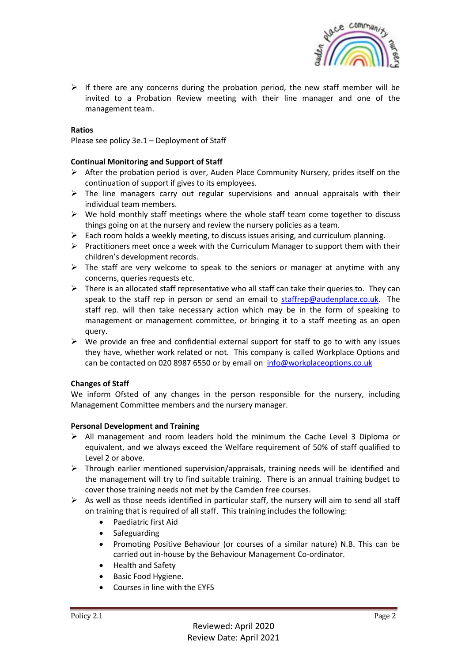

 $\triangleright$  If there are any concerns during the probation period, the new staff member will be invited to a Probation Review meeting with their line manager and one of the management team.

# **Ratios**

Please see policy 3e.1 – Deployment of Staff

# **Continual Monitoring and Support of Staff**

- $\triangleright$  After the probation period is over, Auden Place Community Nursery, prides itself on the continuation of support if gives to its employees.
- $\triangleright$  The line managers carry out regular supervisions and annual appraisals with their individual team members.
- $\triangleright$  We hold monthly staff meetings where the whole staff team come together to discuss things going on at the nursery and review the nursery policies as a team.
- $\triangleright$  Each room holds a weekly meeting, to discuss issues arising, and curriculum planning.
- ➢ Practitioners meet once a week with the Curriculum Manager to support them with their children's development records.
- $\triangleright$  The staff are very welcome to speak to the seniors or manager at anytime with any concerns, queries requests etc.
- $\triangleright$  There is an allocated staff representative who all staff can take their queries to. They can speak to the staff rep in person or send an email to [staffrep@audenplace.co.uk.](mailto:staffrep@audenplace.co.uk) The staff rep. will then take necessary action which may be in the form of speaking to management or management committee, or bringing it to a staff meeting as an open query.
- $\triangleright$  We provide an free and confidential external support for staff to go to with any issues they have, whether work related or not. This company is called Workplace Options and can be contacted on 020 8987 6550 or by email on [info@workplaceoptions.co.uk](mailto:info@workplaceoptions.co.uk)

# **Changes of Staff**

We inform Ofsted of any changes in the person responsible for the nursery, including Management Committee members and the nursery manager.

#### **Personal Development and Training**

- $\triangleright$  All management and room leaders hold the minimum the Cache Level 3 Diploma or equivalent, and we always exceed the Welfare requirement of 50% of staff qualified to Level 2 or above.
- $\triangleright$  Through earlier mentioned supervision/appraisals, training needs will be identified and the management will try to find suitable training. There is an annual training budget to cover those training needs not met by the Camden free courses.
- $\triangleright$  As well as those needs identified in particular staff, the nursery will aim to send all staff on training that is required of all staff. This training includes the following:
	- Paediatric first Aid
	- Safeguarding
	- Promoting Positive Behaviour (or courses of a similar nature) N.B. This can be carried out in-house by the Behaviour Management Co-ordinator.
	- Health and Safety
	- Basic Food Hygiene.
	- Courses in line with the EYFS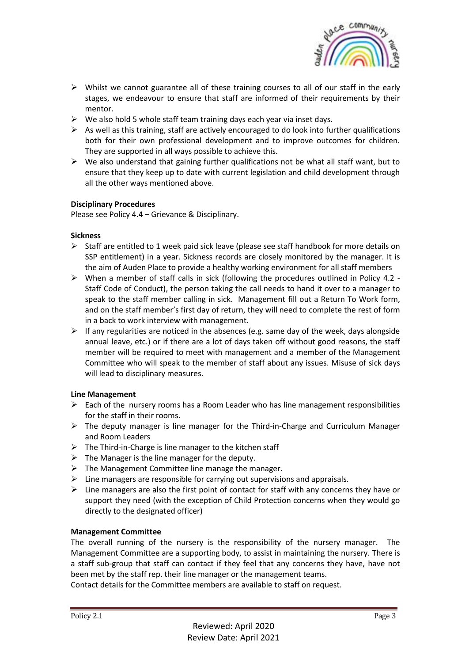

- $\triangleright$  Whilst we cannot guarantee all of these training courses to all of our staff in the early stages, we endeavour to ensure that staff are informed of their requirements by their mentor.
- $\triangleright$  We also hold 5 whole staff team training days each year via inset days.
- $\triangleright$  As well as this training, staff are actively encouraged to do look into further qualifications both for their own professional development and to improve outcomes for children. They are supported in all ways possible to achieve this.
- $\triangleright$  We also understand that gaining further qualifications not be what all staff want, but to ensure that they keep up to date with current legislation and child development through all the other ways mentioned above.

# **Disciplinary Procedures**

Please see Policy 4.4 – Grievance & Disciplinary.

# **Sickness**

- ➢ Staff are entitled to 1 week paid sick leave (please see staff handbook for more details on SSP entitlement) in a year. Sickness records are closely monitored by the manager. It is the aim of Auden Place to provide a healthy working environment for all staff members
- $\triangleright$  When a member of staff calls in sick (following the procedures outlined in Policy 4.2 -Staff Code of Conduct), the person taking the call needs to hand it over to a manager to speak to the staff member calling in sick. Management fill out a Return To Work form, and on the staff member's first day of return, they will need to complete the rest of form in a back to work interview with management.
- ➢ If any regularities are noticed in the absences (e.g. same day of the week, days alongside annual leave, etc.) or if there are a lot of days taken off without good reasons, the staff member will be required to meet with management and a member of the Management Committee who will speak to the member of staff about any issues. Misuse of sick days will lead to disciplinary measures.

# **Line Management**

- $\triangleright$  Each of the nursery rooms has a Room Leader who has line management responsibilities for the staff in their rooms.
- $\triangleright$  The deputy manager is line manager for the Third-in-Charge and Curriculum Manager and Room Leaders
- $\triangleright$  The Third-in-Charge is line manager to the kitchen staff
- $\triangleright$  The Manager is the line manager for the deputy.
- $\triangleright$  The Management Committee line manage the manager.
- $\triangleright$  Line managers are responsible for carrying out supervisions and appraisals.
- $\triangleright$  Line managers are also the first point of contact for staff with any concerns they have or support they need (with the exception of Child Protection concerns when they would go directly to the designated officer)

# **Management Committee**

The overall running of the nursery is the responsibility of the nursery manager. The Management Committee are a supporting body, to assist in maintaining the nursery. There is a staff sub-group that staff can contact if they feel that any concerns they have, have not been met by the staff rep. their line manager or the management teams.

Contact details for the Committee members are available to staff on request.